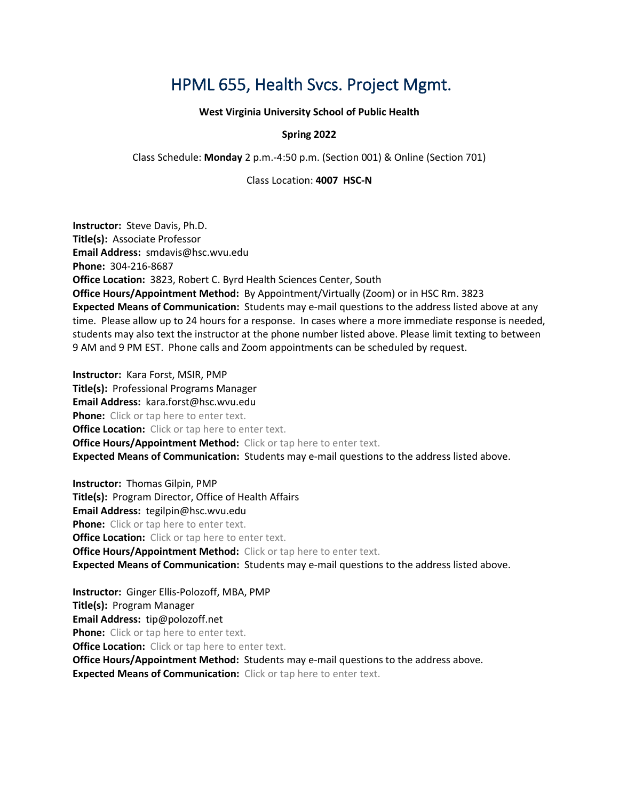# HPML 655, Health Svcs. Project Mgmt.

**West Virginia University School of Public Health**

### **Spring 2022**

Class Schedule: **Monday** 2 p.m.-4:50 p.m. (Section 001) & Online (Section 701)

Class Location: **4007 HSC-N**

**Instructor:** Steve Davis, Ph.D. **Title(s):** Associate Professor **Email Address:** smdavis@hsc.wvu.edu **Phone:** 304-216-8687 **Office Location:** 3823, Robert C. Byrd Health Sciences Center, South **Office Hours/Appointment Method:** By Appointment/Virtually (Zoom) or in HSC Rm. 3823 **Expected Means of Communication:** Students may e-mail questions to the address listed above at any time. Please allow up to 24 hours for a response. In cases where a more immediate response is needed, students may also text the instructor at the phone number listed above. Please limit texting to between 9 AM and 9 PM EST. Phone calls and Zoom appointments can be scheduled by request.

**Instructor:** Kara Forst, MSIR, PMP **Title(s):** Professional Programs Manager **Email Address:** kara.forst@hsc.wvu.edu **Phone:** Click or tap here to enter text. **Office Location:** Click or tap here to enter text. **Office Hours/Appointment Method:** Click or tap here to enter text. **Expected Means of Communication:** Students may e-mail questions to the address listed above.

**Instructor:** Thomas Gilpin, PMP **Title(s):** Program Director, Office of Health Affairs **Email Address:** tegilpin@hsc.wvu.edu **Phone:** Click or tap here to enter text. **Office Location:** Click or tap here to enter text. **Office Hours/Appointment Method:** Click or tap here to enter text. **Expected Means of Communication:** Students may e-mail questions to the address listed above.

**Instructor:** Ginger Ellis-Polozoff, MBA, PMP **Title(s):** Program Manager **Email Address:** tip@polozoff.net **Phone:** Click or tap here to enter text. **Office Location:** Click or tap here to enter text. **Office Hours/Appointment Method:** Students may e-mail questions to the address above. **Expected Means of Communication:** Click or tap here to enter text.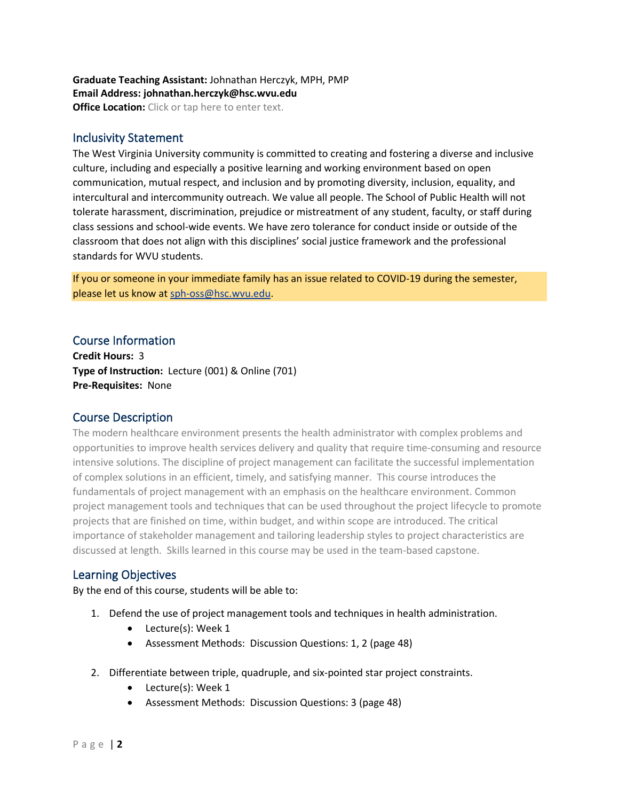#### **Graduate Teaching Assistant:** Johnathan Herczyk, MPH, PMP **Email Address: johnathan.herczyk@hsc.wvu.edu Office Location:** Click or tap here to enter text.

### Inclusivity Statement

The West Virginia University community is committed to creating and fostering a diverse and inclusive culture, including and especially a positive learning and working environment based on open communication, mutual respect, and inclusion and by promoting diversity, inclusion, equality, and intercultural and intercommunity outreach. We value all people. The School of Public Health will not tolerate harassment, discrimination, prejudice or mistreatment of any student, faculty, or staff during class sessions and school-wide events. We have zero tolerance for conduct inside or outside of the classroom that does not align with this disciplines' social justice framework and the professional standards for WVU students.

If you or someone in your immediate family has an issue related to COVID-19 during the semester, please let us know a[t sph-oss@hsc.wvu.edu.](about:blank)

### Course Information

**Credit Hours:** 3 **Type of Instruction:** Lecture (001) & Online (701) **Pre-Requisites:** None

### Course Description

The modern healthcare environment presents the health administrator with complex problems and opportunities to improve health services delivery and quality that require time-consuming and resource intensive solutions. The discipline of project management can facilitate the successful implementation of complex solutions in an efficient, timely, and satisfying manner. This course introduces the fundamentals of project management with an emphasis on the healthcare environment. Common project management tools and techniques that can be used throughout the project lifecycle to promote projects that are finished on time, within budget, and within scope are introduced. The critical importance of stakeholder management and tailoring leadership styles to project characteristics are discussed at length. Skills learned in this course may be used in the team-based capstone.

### Learning Objectives

By the end of this course, students will be able to:

- 1. Defend the use of project management tools and techniques in health administration.
	- Lecture(s): Week 1
	- Assessment Methods: Discussion Questions: 1, 2 (page 48)
- 2. Differentiate between triple, quadruple, and six-pointed star project constraints.
	- Lecture(s): Week 1
	- Assessment Methods: Discussion Questions: 3 (page 48)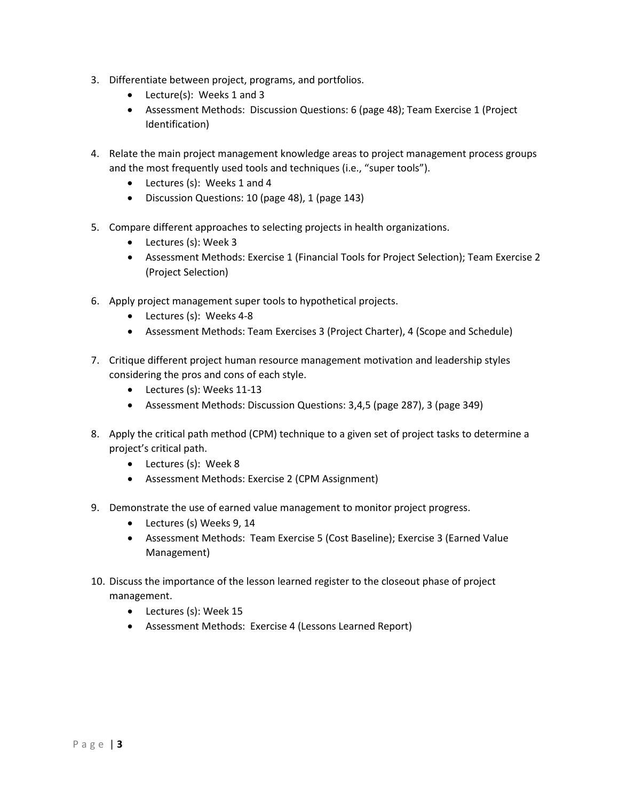- 3. Differentiate between project, programs, and portfolios.
	- Lecture(s): Weeks 1 and 3
	- Assessment Methods: Discussion Questions: 6 (page 48); Team Exercise 1 (Project Identification)
- 4. Relate the main project management knowledge areas to project management process groups and the most frequently used tools and techniques (i.e., "super tools").
	- Lectures (s): Weeks 1 and 4
	- Discussion Questions: 10 (page 48), 1 (page 143)
- 5. Compare different approaches to selecting projects in health organizations.
	- Lectures (s): Week 3
	- Assessment Methods: Exercise 1 (Financial Tools for Project Selection); Team Exercise 2 (Project Selection)
- 6. Apply project management super tools to hypothetical projects.
	- Lectures (s): Weeks 4-8
	- Assessment Methods: Team Exercises 3 (Project Charter), 4 (Scope and Schedule)
- 7. Critique different project human resource management motivation and leadership styles considering the pros and cons of each style.
	- Lectures (s): Weeks 11-13
	- Assessment Methods: Discussion Questions: 3,4,5 (page 287), 3 (page 349)
- 8. Apply the critical path method (CPM) technique to a given set of project tasks to determine a project's critical path.
	- Lectures (s): Week 8
	- Assessment Methods: Exercise 2 (CPM Assignment)
- 9. Demonstrate the use of earned value management to monitor project progress.
	- Lectures (s) Weeks 9, 14
	- Assessment Methods: Team Exercise 5 (Cost Baseline); Exercise 3 (Earned Value Management)
- 10. Discuss the importance of the lesson learned register to the closeout phase of project management.
	- Lectures (s): Week 15
	- Assessment Methods: Exercise 4 (Lessons Learned Report)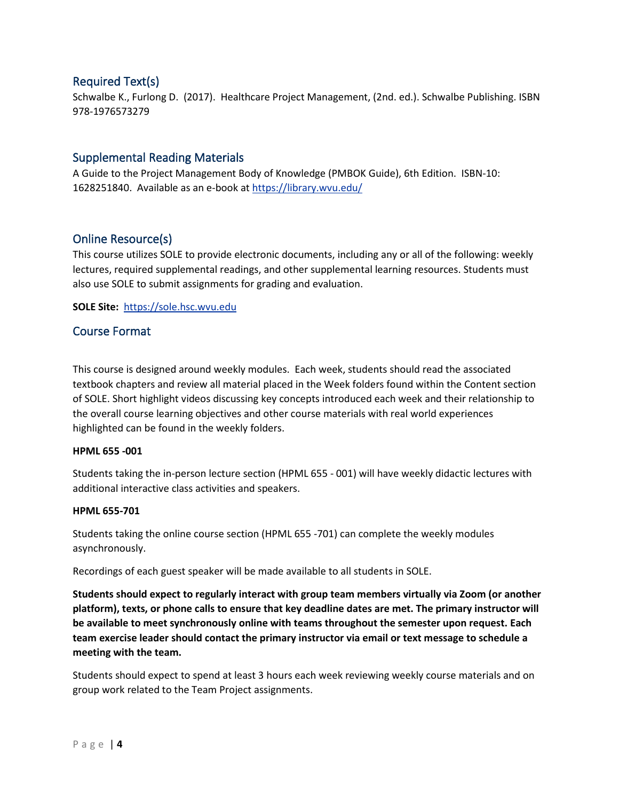# Required Text(s)

Schwalbe K., Furlong D. (2017). Healthcare Project Management, (2nd. ed.). Schwalbe Publishing. ISBN 978-1976573279

### Supplemental Reading Materials

A Guide to the Project Management Body of Knowledge (PMBOK Guide), 6th Edition. ISBN-10: 1628251840. Available as an e-book a[t https://library.wvu.edu/](https://library.wvu.edu/)

# Online Resource(s)

This course utilizes SOLE to provide electronic documents, including any or all of the following: weekly lectures, required supplemental readings, and other supplemental learning resources. Students must also use SOLE to submit assignments for grading and evaluation.

**SOLE Site:** [https://sole.hsc.wvu.edu](https://sole.hsc.wvu.edu/)

### Course Format

This course is designed around weekly modules. Each week, students should read the associated textbook chapters and review all material placed in the Week folders found within the Content section of SOLE. Short highlight videos discussing key concepts introduced each week and their relationship to the overall course learning objectives and other course materials with real world experiences highlighted can be found in the weekly folders.

#### **HPML 655 -001**

Students taking the in-person lecture section (HPML 655 - 001) will have weekly didactic lectures with additional interactive class activities and speakers.

#### **HPML 655-701**

Students taking the online course section (HPML 655 -701) can complete the weekly modules asynchronously.

Recordings of each guest speaker will be made available to all students in SOLE.

**Students should expect to regularly interact with group team members virtually via Zoom (or another platform), texts, or phone calls to ensure that key deadline dates are met. The primary instructor will be available to meet synchronously online with teams throughout the semester upon request. Each team exercise leader should contact the primary instructor via email or text message to schedule a meeting with the team.**

Students should expect to spend at least 3 hours each week reviewing weekly course materials and on group work related to the Team Project assignments.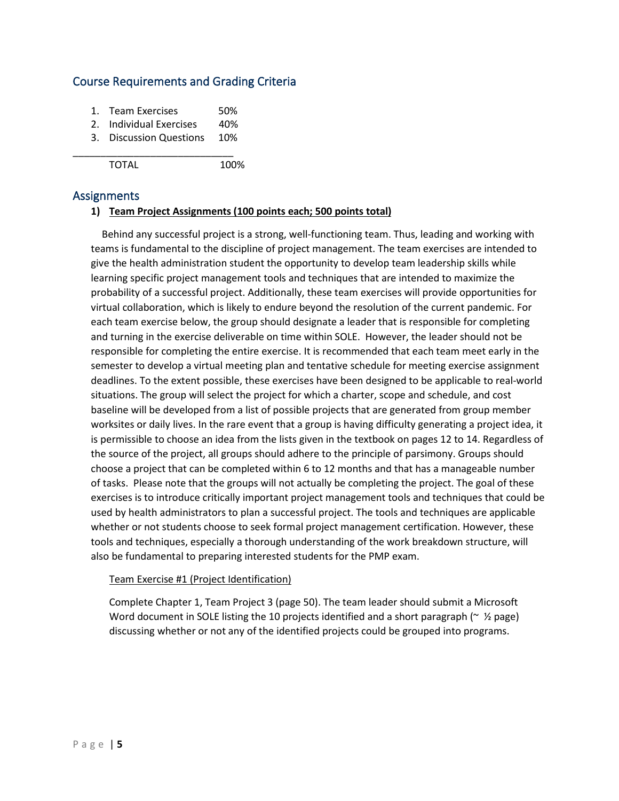# Course Requirements and Grading Criteria

- 1. Team Exercises 50%
- 2. Individual Exercises 40%

\_\_\_\_\_\_\_\_\_\_\_\_\_\_\_\_\_\_\_\_\_\_\_\_\_\_\_\_\_

3. Discussion Questions 10%

TOTAL 100%

### Assignments

### **1) Team Project Assignments (100 points each; 500 points total)**

Behind any successful project is a strong, well-functioning team. Thus, leading and working with teams is fundamental to the discipline of project management. The team exercises are intended to give the health administration student the opportunity to develop team leadership skills while learning specific project management tools and techniques that are intended to maximize the probability of a successful project. Additionally, these team exercises will provide opportunities for virtual collaboration, which is likely to endure beyond the resolution of the current pandemic. For each team exercise below, the group should designate a leader that is responsible for completing and turning in the exercise deliverable on time within SOLE. However, the leader should not be responsible for completing the entire exercise. It is recommended that each team meet early in the semester to develop a virtual meeting plan and tentative schedule for meeting exercise assignment deadlines. To the extent possible, these exercises have been designed to be applicable to real-world situations. The group will select the project for which a charter, scope and schedule, and cost baseline will be developed from a list of possible projects that are generated from group member worksites or daily lives. In the rare event that a group is having difficulty generating a project idea, it is permissible to choose an idea from the lists given in the textbook on pages 12 to 14. Regardless of the source of the project, all groups should adhere to the principle of parsimony. Groups should choose a project that can be completed within 6 to 12 months and that has a manageable number of tasks. Please note that the groups will not actually be completing the project. The goal of these exercises is to introduce critically important project management tools and techniques that could be used by health administrators to plan a successful project. The tools and techniques are applicable whether or not students choose to seek formal project management certification. However, these tools and techniques, especially a thorough understanding of the work breakdown structure, will also be fundamental to preparing interested students for the PMP exam.

#### Team Exercise #1 (Project Identification)

Complete Chapter 1, Team Project 3 (page 50). The team leader should submit a Microsoft Word document in SOLE listing the 10 projects identified and a short paragraph ( $\sim \frac{1}{2}$  page) discussing whether or not any of the identified projects could be grouped into programs.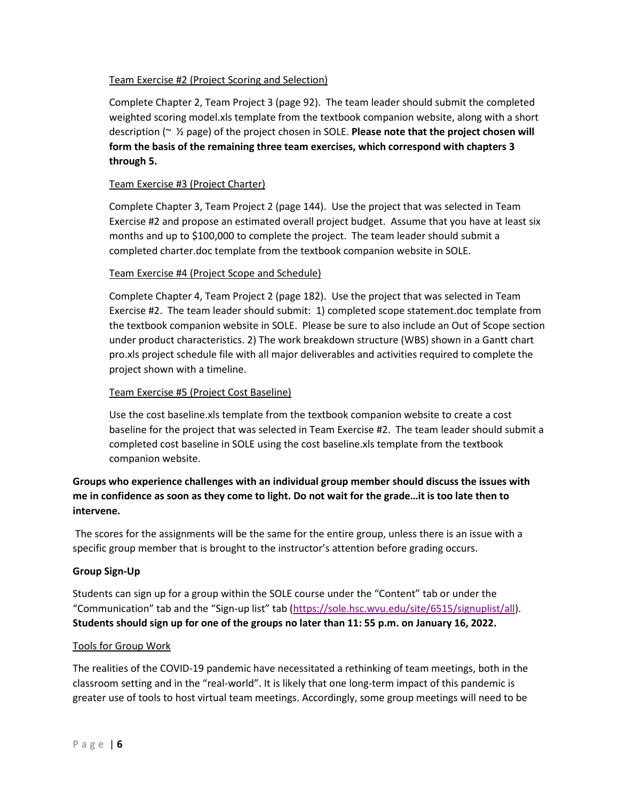### Team Exercise #2 (Project Scoring and Selection)

Complete Chapter 2, Team Project 3 (page 92). The team leader should submit the completed weighted scoring model.xls template from the textbook companion website, along with a short description (~ ½ page) of the project chosen in SOLE. **Please note that the project chosen will form the basis of the remaining three team exercises, which correspond with chapters 3 through 5.**

### Team Exercise #3 (Project Charter)

Complete Chapter 3, Team Project 2 (page 144). Use the project that was selected in Team Exercise #2 and propose an estimated overall project budget. Assume that you have at least six months and up to \$100,000 to complete the project. The team leader should submit a completed charter.doc template from the textbook companion website in SOLE.

#### Team Exercise #4 (Project Scope and Schedule)

Complete Chapter 4, Team Project 2 (page 182). Use the project that was selected in Team Exercise #2. The team leader should submit: 1) completed scope statement.doc template from the textbook companion website in SOLE. Please be sure to also include an Out of Scope section under product characteristics. 2) The work breakdown structure (WBS) shown in a Gantt chart pro.xls project schedule file with all major deliverables and activities required to complete the project shown with a timeline.

### Team Exercise #5 (Project Cost Baseline)

Use the cost baseline.xls template from the textbook companion website to create a cost baseline for the project that was selected in Team Exercise #2. The team leader should submit a completed cost baseline in SOLE using the cost baseline.xls template from the textbook companion website.

### **Groups who experience challenges with an individual group member should discuss the issues with me in confidence as soon as they come to light. Do not wait for the grade…it is too late then to intervene.**

The scores for the assignments will be the same for the entire group, unless there is an issue with a specific group member that is brought to the instructor's attention before grading occurs.

#### **Group Sign-Up**

Students can sign up for a group within the SOLE course under the "Content" tab or under the "Communication" tab and the "Sign-up list" tab [\(https://sole.hsc.wvu.edu/site/6515/signuplist/all\)](https://sole.hsc.wvu.edu/site/6515/signuplist/all). **Students should sign up for one of the groups no later than 11: 55 p.m. on January 16, 2022.**

#### Tools for Group Work

The realities of the COVID-19 pandemic have necessitated a rethinking of team meetings, both in the classroom setting and in the "real-world". It is likely that one long-term impact of this pandemic is greater use of tools to host virtual team meetings. Accordingly, some group meetings will need to be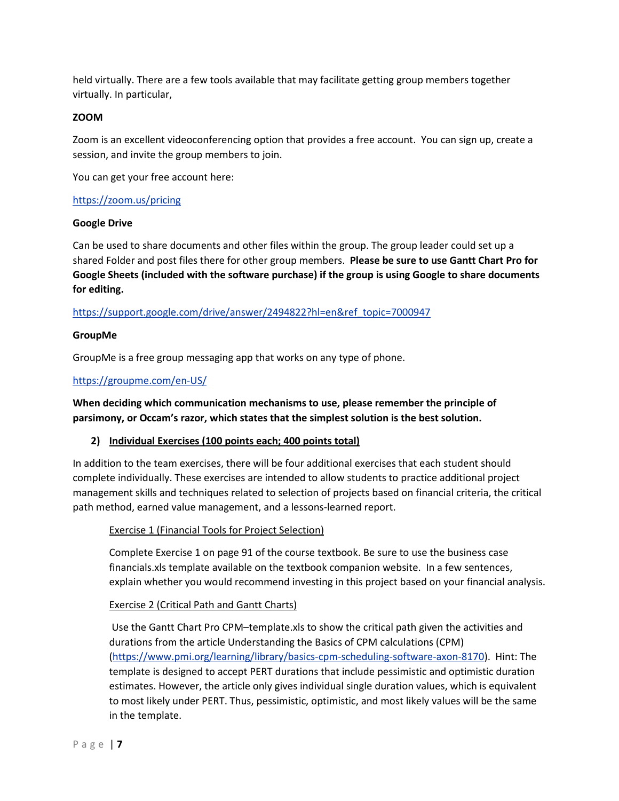held virtually. There are a few tools available that may facilitate getting group members together virtually. In particular,

#### **ZOOM**

Zoom is an excellent videoconferencing option that provides a free account. You can sign up, create a session, and invite the group members to join.

You can get your free account here:

#### <https://zoom.us/pricing>

#### **Google Drive**

Can be used to share documents and other files within the group. The group leader could set up a shared Folder and post files there for other group members. **Please be sure to use Gantt Chart Pro for Google Sheets (included with the software purchase) if the group is using Google to share documents for editing.**

### [https://support.google.com/drive/answer/2494822?hl=en&ref\\_topic=7000947](https://support.google.com/drive/answer/2494822?hl=en&ref_topic=7000947)

#### **GroupMe**

GroupMe is a free group messaging app that works on any type of phone.

### <https://groupme.com/en-US/>

**When deciding which communication mechanisms to use, please remember the principle of parsimony, or Occam's razor, which states that the simplest solution is the best solution.**

#### **2) Individual Exercises (100 points each; 400 points total)**

In addition to the team exercises, there will be four additional exercises that each student should complete individually. These exercises are intended to allow students to practice additional project management skills and techniques related to selection of projects based on financial criteria, the critical path method, earned value management, and a lessons-learned report.

#### Exercise 1 (Financial Tools for Project Selection)

Complete Exercise 1 on page 91 of the course textbook. Be sure to use the business case financials.xls template available on the textbook companion website. In a few sentences, explain whether you would recommend investing in this project based on your financial analysis.

#### Exercise 2 (Critical Path and Gantt Charts)

Use the Gantt Chart Pro CPM–template.xls to show the critical path given the activities and durations from the article Understanding the Basics of CPM calculations (CPM) [\(https://www.pmi.org/learning/library/basics-cpm-scheduling-software-axon-8170\)](https://www.pmi.org/learning/library/basics-cpm-scheduling-software-axon-8170). Hint: The template is designed to accept PERT durations that include pessimistic and optimistic duration estimates. However, the article only gives individual single duration values, which is equivalent to most likely under PERT. Thus, pessimistic, optimistic, and most likely values will be the same in the template.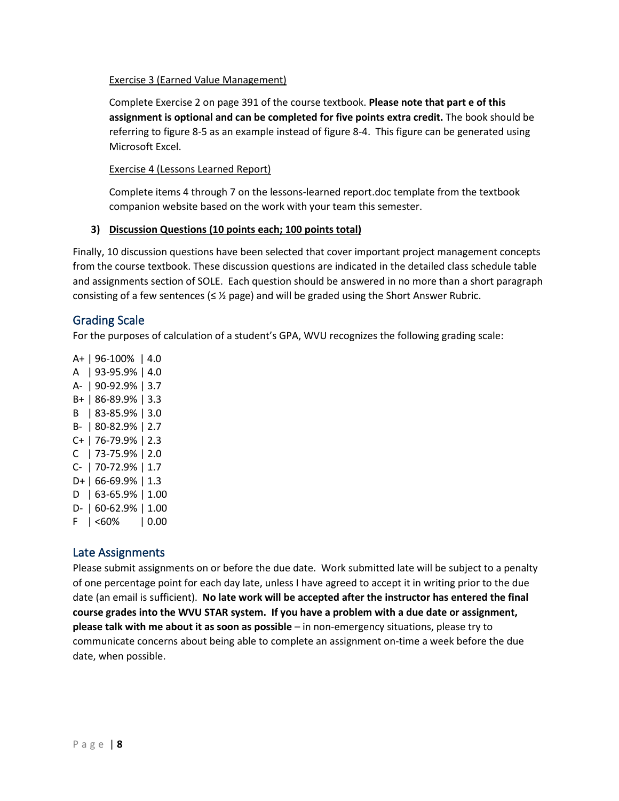#### Exercise 3 (Earned Value Management)

Complete Exercise 2 on page 391 of the course textbook. **Please note that part e of this assignment is optional and can be completed for five points extra credit.** The book should be referring to figure 8-5 as an example instead of figure 8-4. This figure can be generated using Microsoft Excel.

#### Exercise 4 (Lessons Learned Report)

Complete items 4 through 7 on the lessons-learned report.doc template from the textbook companion website based on the work with your team this semester.

#### **3) Discussion Questions (10 points each; 100 points total)**

Finally, 10 discussion questions have been selected that cover important project management concepts from the course textbook. These discussion questions are indicated in the detailed class schedule table and assignments section of SOLE. Each question should be answered in no more than a short paragraph consisting of a few sentences ( $\leq$  % page) and will be graded using the Short Answer Rubric.

### Grading Scale

For the purposes of calculation of a student's GPA, WVU recognizes the following grading scale:

A+ | 96-100% | 4.0 A | 93-95.9% | 4.0 A- | 90-92.9% | 3.7 B+ | 86-89.9% | 3.3 B | 83-85.9% | 3.0 B- | 80-82.9% | 2.7 C+ | 76-79.9% | 2.3 C | 73-75.9% | 2.0 C- | 70-72.9% | 1.7 D+ | 66-69.9% | 1.3 D | 63-65.9% | 1.00 D- | 60-62.9% | 1.00  $F | < 60\% | 0.00$ 

#### Late Assignments

Please submit assignments on or before the due date. Work submitted late will be subject to a penalty of one percentage point for each day late, unless I have agreed to accept it in writing prior to the due date (an email is sufficient). **No late work will be accepted after the instructor has entered the final course grades into the WVU STAR system. If you have a problem with a due date or assignment, please talk with me about it as soon as possible** – in non-emergency situations, please try to communicate concerns about being able to complete an assignment on-time a week before the due date, when possible.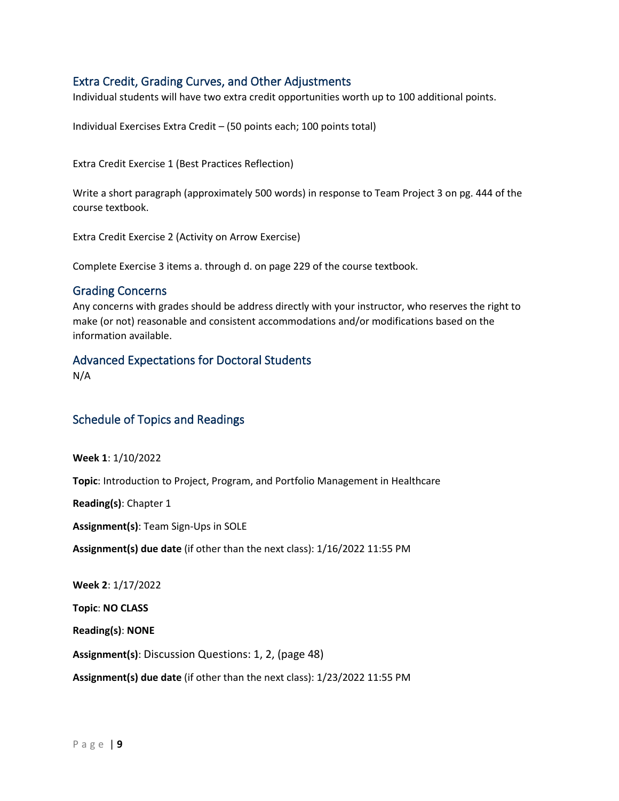# Extra Credit, Grading Curves, and Other Adjustments

Individual students will have two extra credit opportunities worth up to 100 additional points.

Individual Exercises Extra Credit – (50 points each; 100 points total)

Extra Credit Exercise 1 (Best Practices Reflection)

Write a short paragraph (approximately 500 words) in response to Team Project 3 on pg. 444 of the course textbook.

Extra Credit Exercise 2 (Activity on Arrow Exercise)

Complete Exercise 3 items a. through d. on page 229 of the course textbook.

#### Grading Concerns

Any concerns with grades should be address directly with your instructor, who reserves the right to make (or not) reasonable and consistent accommodations and/or modifications based on the information available.

#### Advanced Expectations for Doctoral Students

N/A

### Schedule of Topics and Readings

**Week 1**: 1/10/2022

**Topic**: Introduction to Project, Program, and Portfolio Management in Healthcare

**Reading(s)**: Chapter 1

**Assignment(s)**: Team Sign-Ups in SOLE

**Assignment(s) due date** (if other than the next class): 1/16/2022 11:55 PM

**Week 2**: 1/17/2022

**Topic**: **NO CLASS**

**Reading(s)**: **NONE**

**Assignment(s)**: Discussion Questions: 1, 2, (page 48)

**Assignment(s) due date** (if other than the next class): 1/23/2022 11:55 PM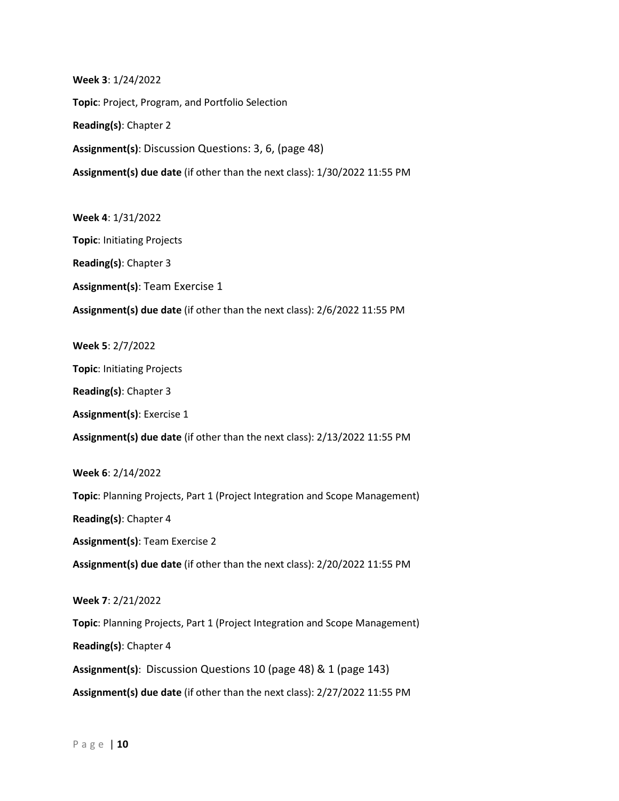**Week 3**: 1/24/2022 **Topic**: Project, Program, and Portfolio Selection **Reading(s)**: Chapter 2 **Assignment(s)**: Discussion Questions: 3, 6, (page 48) **Assignment(s) due date** (if other than the next class): 1/30/2022 11:55 PM

**Week 4**: 1/31/2022 **Topic**: Initiating Projects **Reading(s)**: Chapter 3 **Assignment(s)**: Team Exercise 1 **Assignment(s) due date** (if other than the next class): 2/6/2022 11:55 PM

**Week 5**: 2/7/2022

**Topic**: Initiating Projects

**Reading(s)**: Chapter 3

**Assignment(s)**: Exercise 1

**Assignment(s) due date** (if other than the next class): 2/13/2022 11:55 PM

**Week 6**: 2/14/2022 **Topic**: Planning Projects, Part 1 (Project Integration and Scope Management) **Reading(s)**: Chapter 4 **Assignment(s)**: Team Exercise 2 **Assignment(s) due date** (if other than the next class): 2/20/2022 11:55 PM **Week 7**: 2/21/2022 **Topic**: Planning Projects, Part 1 (Project Integration and Scope Management) **Reading(s)**: Chapter 4

**Assignment(s)**: Discussion Questions 10 (page 48) & 1 (page 143) **Assignment(s) due date** (if other than the next class): 2/27/2022 11:55 PM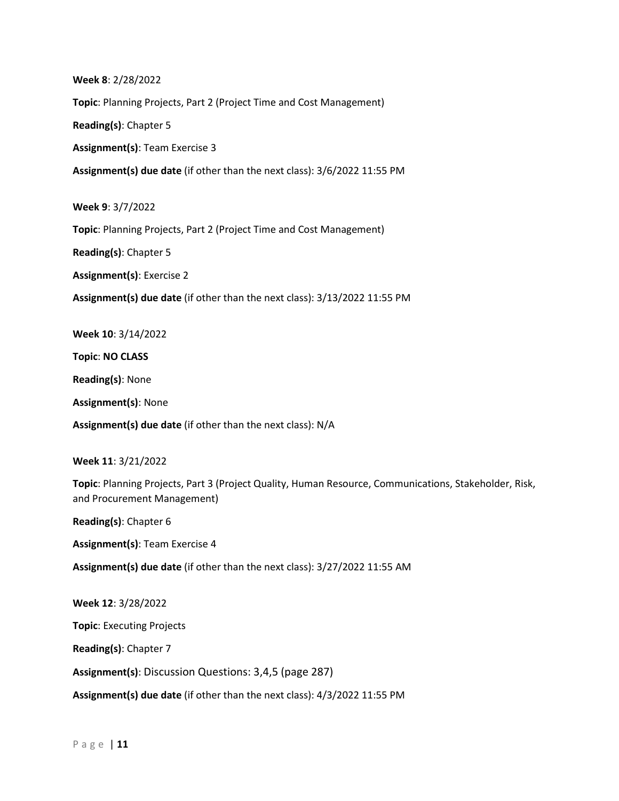**Week 8**: 2/28/2022

**Topic**: Planning Projects, Part 2 (Project Time and Cost Management)

**Reading(s)**: Chapter 5

**Assignment(s)**: Team Exercise 3

**Assignment(s) due date** (if other than the next class): 3/6/2022 11:55 PM

**Week 9**: 3/7/2022

**Topic**: Planning Projects, Part 2 (Project Time and Cost Management)

**Reading(s)**: Chapter 5

**Assignment(s)**: Exercise 2

**Assignment(s) due date** (if other than the next class): 3/13/2022 11:55 PM

**Week 10**: 3/14/2022

**Topic**: **NO CLASS**

**Reading(s)**: None

**Assignment(s)**: None

**Assignment(s) due date** (if other than the next class): N/A

**Week 11**: 3/21/2022

**Topic**: Planning Projects, Part 3 (Project Quality, Human Resource, Communications, Stakeholder, Risk, and Procurement Management)

**Reading(s)**: Chapter 6

**Assignment(s)**: Team Exercise 4

**Assignment(s) due date** (if other than the next class): 3/27/2022 11:55 AM

**Week 12**: 3/28/2022 **Topic**: Executing Projects **Reading(s)**: Chapter 7 **Assignment(s)**: Discussion Questions: 3,4,5 (page 287)

**Assignment(s) due date** (if other than the next class): 4/3/2022 11:55 PM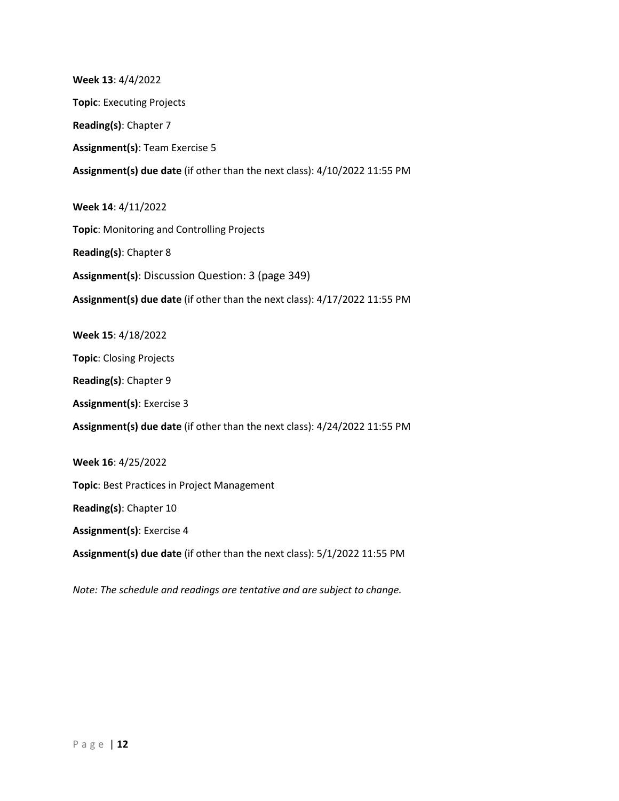**Week 13**: 4/4/2022 **Topic**: Executing Projects **Reading(s)**: Chapter 7 **Assignment(s)**: Team Exercise 5 **Assignment(s) due date** (if other than the next class): 4/10/2022 11:55 PM **Week 14**: 4/11/2022 **Topic**: Monitoring and Controlling Projects **Reading(s)**: Chapter 8 **Assignment(s)**: Discussion Question: 3 (page 349) **Assignment(s) due date** (if other than the next class): 4/17/2022 11:55 PM **Week 15**: 4/18/2022 **Topic**: Closing Projects **Reading(s)**: Chapter 9 **Assignment(s)**: Exercise 3 **Assignment(s) due date** (if other than the next class): 4/24/2022 11:55 PM **Week 16**: 4/25/2022 **Topic**: Best Practices in Project Management **Reading(s)**: Chapter 10 **Assignment(s)**: Exercise 4 **Assignment(s) due date** (if other than the next class): 5/1/2022 11:55 PM

*Note: The schedule and readings are tentative and are subject to change.*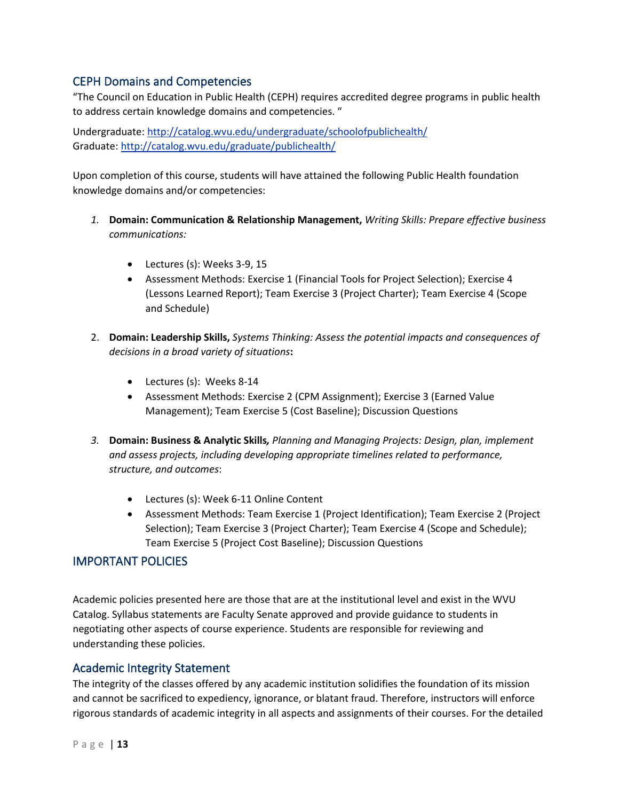# CEPH Domains and Competencies

"The Council on Education in Public Health (CEPH) requires accredited degree programs in public health to address certain knowledge domains and competencies. "

Undergraduate: <http://catalog.wvu.edu/undergraduate/schoolofpublichealth/> Graduate: <http://catalog.wvu.edu/graduate/publichealth/>

Upon completion of this course, students will have attained the following Public Health foundation knowledge domains and/or competencies:

- *1.* **Domain: Communication & Relationship Management,** *Writing Skills: Prepare effective business communications:*
	- Lectures (s): Weeks 3-9, 15
	- Assessment Methods: Exercise 1 (Financial Tools for Project Selection); Exercise 4 (Lessons Learned Report); Team Exercise 3 (Project Charter); Team Exercise 4 (Scope and Schedule)
- 2. **Domain: Leadership Skills,** *Systems Thinking: Assess the potential impacts and consequences of decisions in a broad variety of situations***:** 
	- Lectures (s): Weeks 8-14
	- Assessment Methods: Exercise 2 (CPM Assignment); Exercise 3 (Earned Value Management); Team Exercise 5 (Cost Baseline); Discussion Questions
- *3.* **Domain: Business & Analytic Skills***, Planning and Managing Projects: Design, plan, implement and assess projects, including developing appropriate timelines related to performance, structure, and outcomes*:
	- Lectures (s): Week 6-11 Online Content
	- Assessment Methods: Team Exercise 1 (Project Identification); Team Exercise 2 (Project Selection); Team Exercise 3 (Project Charter); Team Exercise 4 (Scope and Schedule); Team Exercise 5 (Project Cost Baseline); Discussion Questions

# IMPORTANT POLICIES

Academic policies presented here are those that are at the institutional level and exist in the WVU Catalog. Syllabus statements are Faculty Senate approved and provide guidance to students in negotiating other aspects of course experience. Students are responsible for reviewing and understanding these policies.

# Academic Integrity Statement

The integrity of the classes offered by any academic institution solidifies the foundation of its mission and cannot be sacrificed to expediency, ignorance, or blatant fraud. Therefore, instructors will enforce rigorous standards of academic integrity in all aspects and assignments of their courses. For the detailed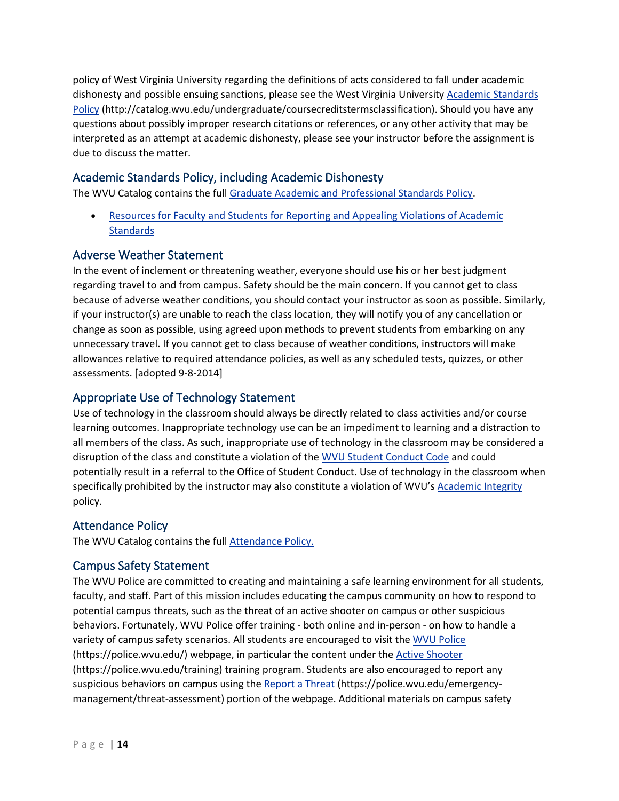policy of West Virginia University regarding the definitions of acts considered to fall under academic dishonesty and possible ensuing sanctions, please see the West Virginia University [Academic Standards](https://tlcommons.wvu.edu/syllabus-policies-and-statements#13)  [Policy](https://tlcommons.wvu.edu/syllabus-policies-and-statements#13) (http://catalog.wvu.edu/undergraduate/coursecreditstermsclassification). Should you have any questions about possibly improper research citations or references, or any other activity that may be interpreted as an attempt at academic dishonesty, please see your instructor before the assignment is due to discuss the matter.

# Academic Standards Policy, including Academic Dishonesty

The WVU Catalog contains the full [Graduate Academic and Professional Standards Policy.](http://catalog.wvu.edu/graduate/enrollmentandregistration/)

• [Resources for Faculty and Students for Reporting and Appealing Violations of Academic](http://provost.wvu.edu/governance/academic-standards-resources)  **[Standards](http://provost.wvu.edu/governance/academic-standards-resources)** 

# Adverse Weather Statement

In the event of inclement or threatening weather, everyone should use his or her best judgment regarding travel to and from campus. Safety should be the main concern. If you cannot get to class because of adverse weather conditions, you should contact your instructor as soon as possible. Similarly, if your instructor(s) are unable to reach the class location, they will notify you of any cancellation or change as soon as possible, using agreed upon methods to prevent students from embarking on any unnecessary travel. If you cannot get to class because of weather conditions, instructors will make allowances relative to required attendance policies, as well as any scheduled tests, quizzes, or other assessments. [adopted 9-8-2014]

# Appropriate Use of Technology Statement

Use of technology in the classroom should always be directly related to class activities and/or course learning outcomes. Inappropriate technology use can be an impediment to learning and a distraction to all members of the class. As such, inappropriate use of technology in the classroom may be considered a disruption of the class and constitute a violation of the [WVU Student Conduct Code](https://studentconduct.wvu.edu/campus-student-code) and could potentially result in a referral to the Office of Student Conduct. Use of technology in the classroom when specifically prohibited by the instructor may also constitute a violation of WVU'[s Academic Integrity](http://catalog.wvu.edu/undergraduate/coursecreditstermsclassification/) policy.

# Attendance Policy

The WVU Catalog contains the full **Attendance Policy.** 

# Campus Safety Statement

The WVU Police are committed to creating and maintaining a safe learning environment for all students, faculty, and staff. Part of this mission includes educating the campus community on how to respond to potential campus threats, such as the threat of an active shooter on campus or other suspicious behaviors. Fortunately, WVU Police offer training - both online and in-person - on how to handle a variety of campus safety scenarios. All students are encouraged to visit the [WVU Police](http://police.wvu.edu/) (https://police.wvu.edu/) webpage, in particular the content under the [Active Shooter](http://police.wvu.edu/files/d/9cd33254-6b62-4858-b126-86899da4c0b7/2015-shots-fired-student.pdf) (https://police.wvu.edu/training) training program. Students are also encouraged to report any suspicious behaviors on campus using the [Report a Threat](http://police.wvu.edu/emergency-management/threat-assessment) (https://police.wvu.edu/emergencymanagement/threat-assessment) portion of the webpage. Additional materials on campus safety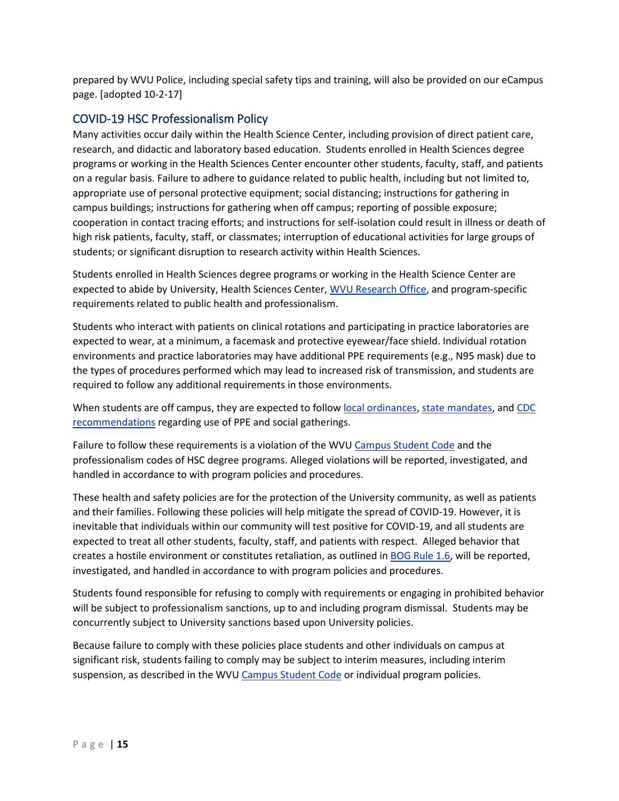prepared by WVU Police, including special safety tips and training, will also be provided on our eCampus page. [adopted 10-2-17]

# COVID-19 HSC Professionalism Policy

Many activities occur daily within the Health Science Center, including provision of direct patient care, research, and didactic and laboratory based education. Students enrolled in Health Sciences degree programs or working in the Health Sciences Center encounter other students, faculty, staff, and patients on a regular basis. Failure to adhere to guidance related to public health, including but not limited to, appropriate use of personal protective equipment; social distancing; instructions for gathering in campus buildings; instructions for gathering when off campus; reporting of possible exposure; cooperation in contact tracing efforts; and instructions for self-isolation could result in illness or death of high risk patients, faculty, staff, or classmates; interruption of educational activities for large groups of students; or significant disruption to research activity within Health Sciences.

Students enrolled in Health Sciences degree programs or working in the Health Science Center are expected to abide by University, Health Sciences Center, [WVU Research Office,](https://research.wvu.edu/covid-19-guidance) and program-specific requirements related to public health and professionalism.

Students who interact with patients on clinical rotations and participating in practice laboratories are expected to wear, at a minimum, a facemask and protective eyewear/face shield. Individual rotation environments and practice laboratories may have additional PPE requirements (e.g., N95 mask) due to the types of procedures performed which may lead to increased risk of transmission, and students are required to follow any additional requirements in those environments.

When students are off campus, they are expected to follow [local ordinances,](https://morgantownwv.gov/557/COVID-19-Coronavirus-Response) [state mandates,](https://governor.wv.gov/Pages/WV-COVID-19-actions-and-executive-orders.aspx) and [CDC](https://www.cdc.gov/coronavirus/2019-ncov/index.html)  [recommendations](https://www.cdc.gov/coronavirus/2019-ncov/index.html) regarding use of PPE and social gatherings.

Failure to follow these requirements is a violation of the WVU [Campus Student Code](https://studentconduct.wvu.edu/campus-student-code) and the professionalism codes of HSC degree programs. Alleged violations will be reported, investigated, and handled in accordance to with program policies and procedures.

These health and safety policies are for the protection of the University community, as well as patients and their families. Following these policies will help mitigate the spread of COVID-19. However, it is inevitable that individuals within our community will test positive for COVID-19, and all students are expected to treat all other students, faculty, staff, and patients with respect. Alleged behavior that creates a hostile environment or constitutes retaliation, as outlined in [BOG Rule 1.6,](https://policies.wvu.edu/finalized-bog-rules/bog-governance-rule-1-6-rule) will be reported, investigated, and handled in accordance to with program policies and procedures.

Students found responsible for refusing to comply with requirements or engaging in prohibited behavior will be subject to professionalism sanctions, up to and including program dismissal. Students may be concurrently subject to University sanctions based upon University policies.

Because failure to comply with these policies place students and other individuals on campus at significant risk, students failing to comply may be subject to interim measures, including interim suspension, as described in the WVU [Campus Student Code](https://studentconduct.wvu.edu/campus-student-code) or individual program policies.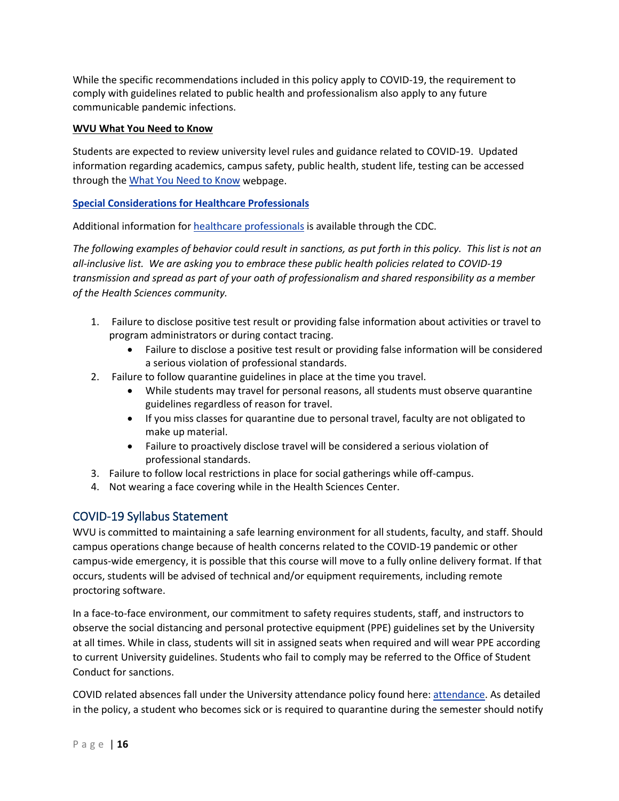While the specific recommendations included in this policy apply to COVID-19, the requirement to comply with guidelines related to public health and professionalism also apply to any future communicable pandemic infections.

### **WVU What You Need to Know**

Students are expected to review university level rules and guidance related to COVID-19. Updated information regarding academics, campus safety, public health, student life, testing can be accessed through th[e What You Need to Know](https://www.wvu.edu/return-to-campus/what-you-need-to-know/student-life-2) webpage.

### **Special Considerations for Healthcare Professionals**

Additional information fo[r healthcare professionals](https://www.cdc.gov/coronavirus/2019-ncov/hcp/index.html) is available through the CDC.

*The following examples of behavior could result in sanctions, as put forth in this policy. This list is not an all-inclusive list. We are asking you to embrace these public health policies related to COVID-19 transmission and spread as part of your oath of professionalism and shared responsibility as a member of the Health Sciences community.*

- 1. Failure to disclose positive test result or providing false information about activities or travel to program administrators or during contact tracing.
	- Failure to disclose a positive test result or providing false information will be considered a serious violation of professional standards.
- 2. Failure to follow quarantine guidelines in place at the time you travel.
	- While students may travel for personal reasons, all students must observe quarantine guidelines regardless of reason for travel.
	- If you miss classes for quarantine due to personal travel, faculty are not obligated to make up material.
	- Failure to proactively disclose travel will be considered a serious violation of professional standards.
- 3. Failure to follow local restrictions in place for social gatherings while off-campus.
- 4. Not wearing a face covering while in the Health Sciences Center.

# COVID-19 Syllabus Statement

WVU is committed to maintaining a safe learning environment for all students, faculty, and staff. Should campus operations change because of health concerns related to the COVID-19 pandemic or other campus-wide emergency, it is possible that this course will move to a fully online delivery format. If that occurs, students will be advised of technical and/or equipment requirements, including remote proctoring software.

In a face-to-face environment, our commitment to safety requires students, staff, and instructors to observe the social distancing and personal protective equipment (PPE) guidelines set by the University at all times. While in class, students will sit in assigned seats when required and will wear PPE according to current University guidelines. Students who fail to comply may be referred to the Office of Student Conduct for sanctions.

COVID related absences fall under the University attendance policy found here: [attendance.](http://catalog.wvu.edu/undergraduate/enrollmentandregistration/#Attendance) As detailed in the policy, a student who becomes sick or is required to quarantine during the semester should notify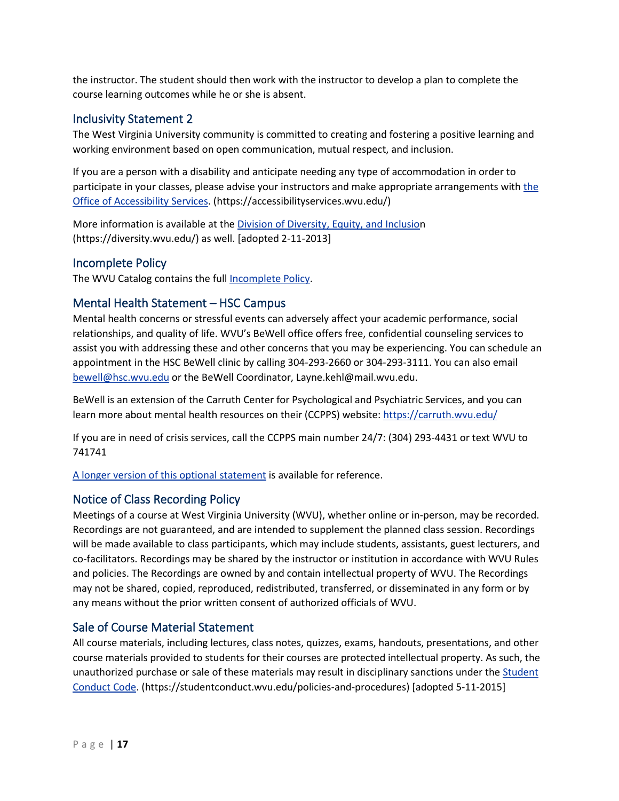the instructor. The student should then work with the instructor to develop a plan to complete the course learning outcomes while he or she is absent.

### Inclusivity Statement 2

The West Virginia University community is committed to creating and fostering a positive learning and working environment based on open communication, mutual respect, and inclusion.

If you are a person with a disability and anticipate needing any type of accommodation in order to participate in your classes, please advise your instructors and make appropriate arrangements with the [Office of Accessibility Services.](http://accessibilityservices.wvu.edu/) (https://accessibilityservices.wvu.edu/)

More information is available at the [Division of Diversity, Equity, and Inclusion](http://diversity.wvu.edu/) (https://diversity.wvu.edu/) as well. [adopted 2-11-2013]

### Incomplete Policy

The WVU Catalog contains the full **Incomplete Policy**.

### Mental Health Statement – HSC Campus

Mental health concerns or stressful events can adversely affect your academic performance, social relationships, and quality of life. WVU's BeWell office offers free, confidential counseling services to assist you with addressing these and other concerns that you may be experiencing. You can schedule an appointment in the HSC BeWell clinic by calling 304-293-2660 or 304-293-3111. You can also email [bewell@hsc.wvu.edu](mailto:bewell@hsc.wvu.edu) or the BeWell Coordinator, Layne.kehl@mail.wvu.edu.

BeWell is an extension of the Carruth Center for Psychological and Psychiatric Services, and you can learn more about mental health resources on their (CCPPS) website:<https://carruth.wvu.edu/>

If you are in need of crisis services, call the CCPPS main number 24/7: (304) 293-4431 or text WVU to 741741

[A longer version of this optional statement](https://tlcommons.wvu.edu/syllabus-policies-and-statements/mental-health-statement-hsc-campus) is available for reference.

# Notice of Class Recording Policy

Meetings of a course at West Virginia University (WVU), whether online or in-person, may be recorded. Recordings are not guaranteed, and are intended to supplement the planned class session. Recordings will be made available to class participants, which may include students, assistants, guest lecturers, and co-facilitators. Recordings may be shared by the instructor or institution in accordance with WVU Rules and policies. The Recordings are owned by and contain intellectual property of WVU. The Recordings may not be shared, copied, reproduced, redistributed, transferred, or disseminated in any form or by any means without the prior written consent of authorized officials of WVU.

# Sale of Course Material Statement

All course materials, including lectures, class notes, quizzes, exams, handouts, presentations, and other course materials provided to students for their courses are protected intellectual property. As such, the unauthorized purchase or sale of these materials may result in disciplinary sanctions under the Student [Conduct Code.](http://studentconduct.wvu.edu/files/d/f0ae69b9-1461-45cb-81ee-40e48e2d978b/main-campus-revised-final-student-conduct-code-8-21-15c.pdf) (https://studentconduct.wvu.edu/policies-and-procedures) [adopted 5-11-2015]